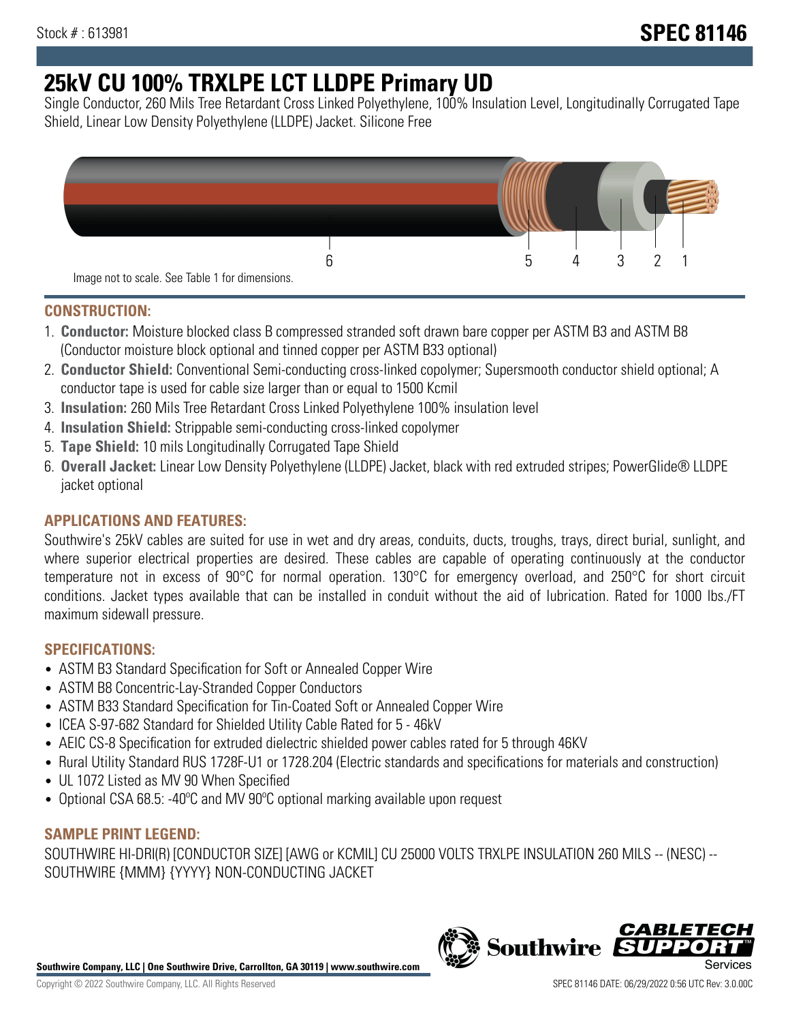# **25kV CU 100% TRXLPE LCT LLDPE Primary UD**

Single Conductor, 260 Mils Tree Retardant Cross Linked Polyethylene, 100% Insulation Level, Longitudinally Corrugated Tape Shield, Linear Low Density Polyethylene (LLDPE) Jacket. Silicone Free



### **CONSTRUCTION:**

- 1. **Conductor:** Moisture blocked class B compressed stranded soft drawn bare copper per ASTM B3 and ASTM B8 (Conductor moisture block optional and tinned copper per ASTM B33 optional)
- 2. **Conductor Shield:** Conventional Semi-conducting cross-linked copolymer; Supersmooth conductor shield optional; A conductor tape is used for cable size larger than or equal to 1500 Kcmil
- 3. **Insulation:** 260 Mils Tree Retardant Cross Linked Polyethylene 100% insulation level
- 4. **Insulation Shield:** Strippable semi-conducting cross-linked copolymer
- 5. **Tape Shield:** 10 mils Longitudinally Corrugated Tape Shield
- 6. **Overall Jacket:** Linear Low Density Polyethylene (LLDPE) Jacket, black with red extruded stripes; PowerGlide® LLDPE jacket optional

# **APPLICATIONS AND FEATURES:**

Southwire's 25kV cables are suited for use in wet and dry areas, conduits, ducts, troughs, trays, direct burial, sunlight, and where superior electrical properties are desired. These cables are capable of operating continuously at the conductor temperature not in excess of 90°C for normal operation. 130°C for emergency overload, and 250°C for short circuit conditions. Jacket types available that can be installed in conduit without the aid of lubrication. Rated for 1000 lbs./FT maximum sidewall pressure.

# **SPECIFICATIONS:**

- ASTM B3 Standard Specification for Soft or Annealed Copper Wire
- ASTM B8 Concentric-Lay-Stranded Copper Conductors
- ASTM B33 Standard Specification for Tin-Coated Soft or Annealed Copper Wire
- ICEA S-97-682 Standard for Shielded Utility Cable Rated for 5 46kV
- AEIC CS-8 Specification for extruded dielectric shielded power cables rated for 5 through 46KV
- Rural Utility Standard RUS 1728F-U1 or 1728.204 (Electric standards and specifications for materials and construction)
- UL 1072 Listed as MV 90 When Specified
- Optional CSA 68.5: -40ºC and MV 90ºC optional marking available upon request

#### **SAMPLE PRINT LEGEND:**

SOUTHWIRE HI-DRI(R) [CONDUCTOR SIZE] [AWG or KCMIL] CU 25000 VOLTS TRXLPE INSULATION 260 MILS -- (NESC) -- SOUTHWIRE {MMM} {YYYY} NON-CONDUCTING JACKET

**Southwire Company, LLC | One Southwire Drive, Carrollton, GA 30119 | www.southwire.com**

*CABLE*